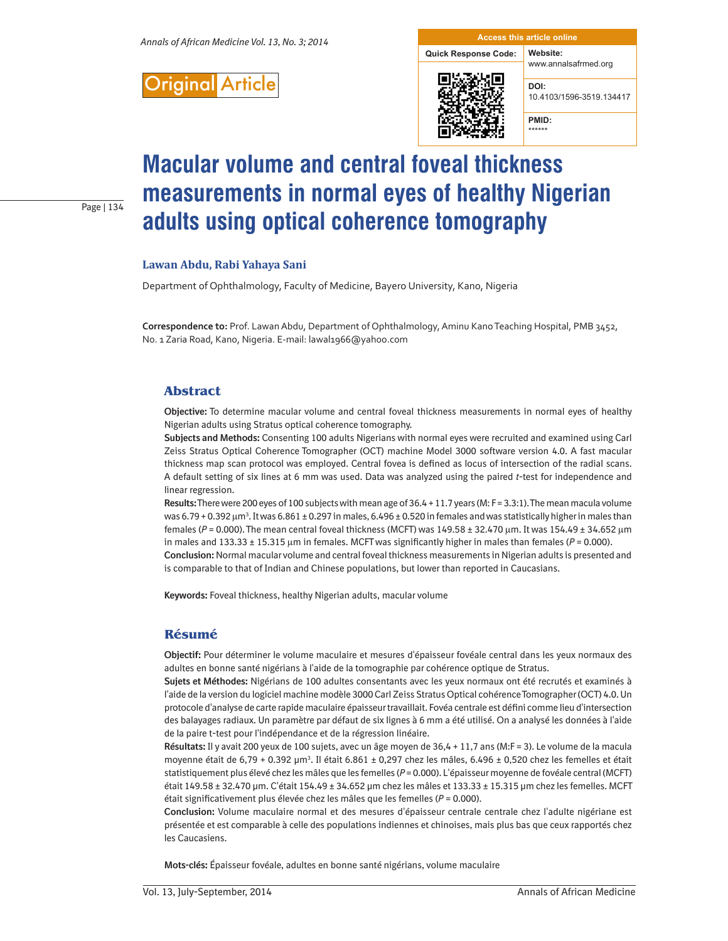

**Quick Response Code: Website:** www.annalsafrmed.org



10.4103/1596-3519.134417

**PMID:**

**DOI:**

#### \*\*\*\*\*\*

# **Macular volume and central foveal thickness measurements in normal eyes of healthy Nigerian adults using optical coherence tomography**

# **Lawan Abdu, Rabi Yahaya Sani**

Page | 134

Department of Ophthalmology, Faculty of Medicine, Bayero University, Kano, Nigeria

**Correspondence to:** Prof. Lawan Abdu, Department of Ophthalmology, Aminu Kano Teaching Hospital, PMB 3452, No. 1 Zaria Road, Kano, Nigeria. E-mail: lawal1966@yahoo.com

#### **Abstract**

**Objective:** To determine macular volume and central foveal thickness measurements in normal eyes of healthy Nigerian adults using Stratus optical coherence tomography.

**Subjects and Methods:** Consenting 100 adults Nigerians with normal eyes were recruited and examined using Carl Zeiss Stratus Optical Coherence Tomographer (OCT) machine Model 3000 software version 4.0. A fast macular thickness map scan protocol was employed. Central fovea is defined as locus of intersection of the radial scans. A default setting of six lines at 6 mm was used. Data was analyzed using the paired *t*-test for independence and linear regression.

**Results:** There were 200 eyes of 100 subjects with mean age of 36.4 + 11.7 years (M: F = 3.3:1). The mean macula volume was 6.79 + 0.392  $\mu$ m $^3$ . It was 6.861 ± 0.297 in males, 6.496 ± 0.520 in females and was statistically higher in males than females (*P* = 0.000). The mean central foveal thickness (MCFT) was 149.58 ± 32.470 µm. It was 154.49 ± 34.652 µm in males and  $133.33 \pm 15.315$  µm in females. MCFT was significantly higher in males than females ( $P = 0.000$ ). **Conclusion:** Normal macular volume and central foveal thickness measurements in Nigerian adults is presented and is comparable to that of Indian and Chinese populations, but lower than reported in Caucasians.

**Keywords:** Foveal thickness, healthy Nigerian adults, macular volume

#### **Résumé**

**Objectif:** Pour déterminer le volume maculaire et mesures d'épaisseur fovéale central dans les yeux normaux des adultes en bonne santé nigérians à l'aide de la tomographie par cohérence optique de Stratus.

**Sujets et Méthodes:** Nigérians de 100 adultes consentants avec les yeux normaux ont été recrutés et examinés à l'aide de la version du logiciel machine modèle 3000 Carl Zeiss Stratus Optical cohérence Tomographer (OCT) 4.0. Un protocole d'analyse de carte rapide maculaire épaisseur travaillait. Fovéa centrale est défini comme lieu d'intersection des balayages radiaux. Un paramètre par défaut de six lignes à 6 mm a été utilisé. On a analysé les données à l'aide de la paire t-test pour l'indépendance et de la régression linéaire.

**Résultats:** Il y avait 200 yeux de 100 sujets, avec un âge moyen de 36,4 + 11,7 ans (M:F = 3). Le volume de la macula moyenne était de 6,79 + 0.392 µm<sup>3</sup>. Il était 6.861 ± 0,297 chez les mâles, 6.496 ± 0,520 chez les femelles et était statistiquement plus élevé chez les mâles que les femelles ( $P = 0.000$ ). L'épaisseur moyenne de fovéale central (MCFT) était 149.58 ± 32.470 µm. C'était 154.49 ± 34.652 µm chez les mâles et 133.33 ± 15.315 µm chez les femelles. MCFT était significativement plus élevée chez les mâles que les femelles (*P* = 0.000).

**Conclusion:** Volume maculaire normal et des mesures d'épaisseur centrale centrale chez l'adulte nigériane est présentée et est comparable à celle des populations indiennes et chinoises, mais plus bas que ceux rapportés chez les Caucasiens.

**Mots-clés:** Épaisseur fovéale, adultes en bonne santé nigérians, volume maculaire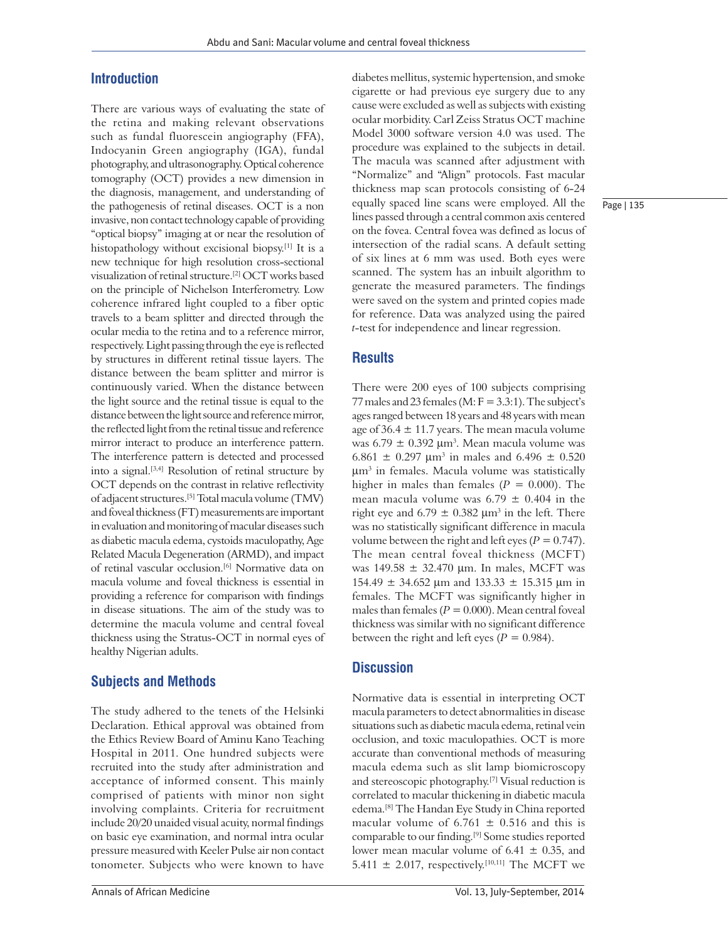#### **Introduction**

There are various ways of evaluating the state of the retina and making relevant observations such as fundal fluorescein angiography (FFA), Indocyanin Green angiography (IGA), fundal photography, and ultrasonography. Optical coherence tomography (OCT) provides a new dimension in the diagnosis, management, and understanding of the pathogenesis of retinal diseases. OCT is a non invasive, non contact technology capable of providing "optical biopsy" imaging at or near the resolution of histopathology without excisional biopsy.[1] It is a new technique for high resolution cross‑sectional visualization of retinal structure.[2] OCT works based on the principle of Nichelson Interferometry. Low coherence infrared light coupled to a fiber optic travels to a beam splitter and directed through the ocular media to the retina and to a reference mirror, respectively. Light passing through the eye is reflected by structures in different retinal tissue layers. The distance between the beam splitter and mirror is continuously varied. When the distance between the light source and the retinal tissue is equal to the distance between the light source and reference mirror, the reflected light from the retinal tissue and reference mirror interact to produce an interference pattern. The interference pattern is detected and processed into a signal.[3,4] Resolution of retinal structure by OCT depends on the contrast in relative reflectivity of adjacent structures.[5] Total macula volume (TMV) and foveal thickness(FT) measurements are important in evaluation and monitoring of macular diseases such as diabetic macula edema, cystoids maculopathy, Age Related Macula Degeneration (ARMD), and impact of retinal vascular occlusion.[6] Normative data on macula volume and foveal thickness is essential in providing a reference for comparison with findings in disease situations. The aim of the study was to determine the macula volume and central foveal thickness using the Stratus‑OCT in normal eyes of healthy Nigerian adults.

## **Subjects and Methods**

The study adhered to the tenets of the Helsinki Declaration. Ethical approval was obtained from the Ethics Review Board of Aminu Kano Teaching Hospital in 2011. One hundred subjects were recruited into the study after administration and acceptance of informed consent. This mainly comprised of patients with minor non sight involving complaints. Criteria for recruitment include 20/20 unaided visual acuity, normal findings on basic eye examination, and normal intra ocular pressure measured with Keeler Pulse air non contact tonometer. Subjects who were known to have

diabetes mellitus, systemic hypertension, and smoke cigarette or had previous eye surgery due to any cause were excluded as well as subjects with existing ocular morbidity. Carl Zeiss Stratus OCT machine Model 3000 software version 4.0 was used. The procedure was explained to the subjects in detail. The macula was scanned after adjustment with "Normalize" and "Align" protocols. Fast macular thickness map scan protocols consisting of 6-24 equally spaced line scans were employed. All the lines passed through a central common axis centered on the fovea. Central fovea was defined as locus of intersection of the radial scans. A default setting of six lines at 6 mm was used. Both eyes were scanned. The system has an inbuilt algorithm to generate the measured parameters. The findings were saved on the system and printed copies made for reference. Data was analyzed using the paired *t*‑test for independence and linear regression.

#### **Results**

There were 200 eyes of 100 subjects comprising 77 males and 23 females (M:  $F = 3.3:1$ ). The subject's ages ranged between 18 years and 48 years with mean age of  $36.4 \pm 11.7$  years. The mean macula volume was  $6.79 \pm 0.392 \ \mu m^3$ . Mean macula volume was 6.861  $\pm$  0.297 µm<sup>3</sup> in males and 6.496  $\pm$  0.520 µm3 in females. Macula volume was statistically higher in males than females  $(P = 0.000)$ . The mean macula volume was  $6.79 \pm 0.404$  in the right eye and  $6.79 \pm 0.382 \mu m^3$  in the left. There was no statistically significant difference in macula volume between the right and left eyes ( $P = 0.747$ ). The mean central foveal thickness (MCFT) was 149.58 ± 32.470 µm. In males, MCFT was 154.49  $\pm$  34.652 µm and 133.33  $\pm$  15.315 µm in females. The MCFT was significantly higher in males than females ( $P = 0.000$ ). Mean central foveal thickness was similar with no significant difference between the right and left eyes ( $P = 0.984$ ).

#### **Discussion**

Normative data is essential in interpreting OCT macula parameters to detect abnormalities in disease situations such as diabetic macula edema, retinal vein occlusion, and toxic maculopathies. OCT is more accurate than conventional methods of measuring macula edema such as slit lamp biomicroscopy and stereoscopic photography.[7] Visual reduction is correlated to macular thickening in diabetic macula edema.[8] The Handan Eye Study in China reported macular volume of 6.761  $\pm$  0.516 and this is comparable to our finding.[9] Some studies reported lower mean macular volume of  $6.41 \pm 0.35$ , and 5.411  $\pm$  2.017, respectively.<sup>[10,11]</sup> The MCFT we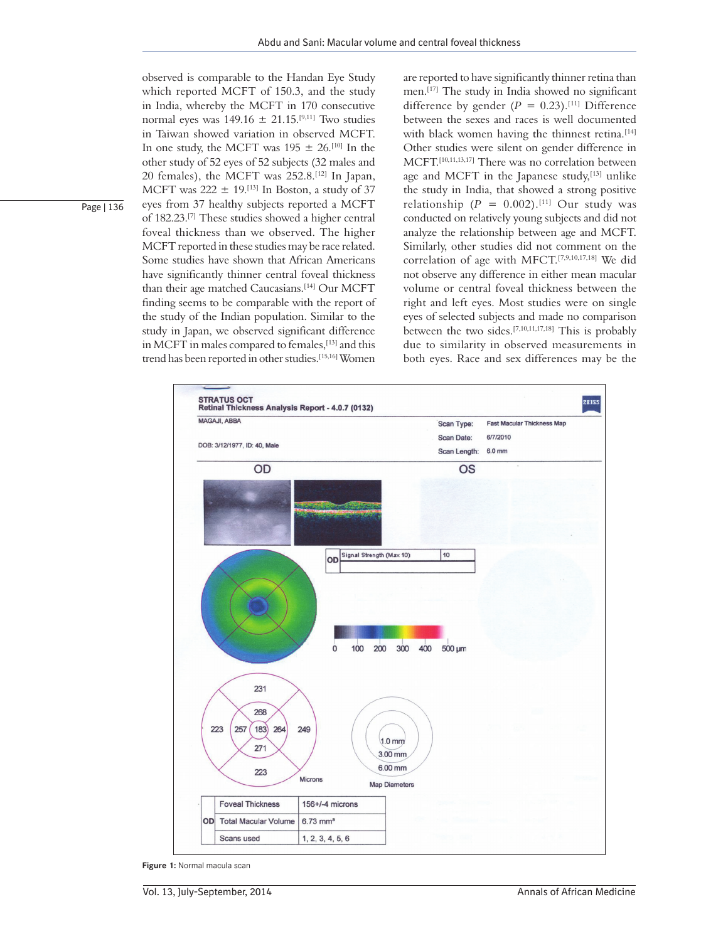observed is comparable to the Handan Eye Study which reported MCFT of 150.3, and the study in India, whereby the MCFT in 170 consecutive normal eyes was  $149.16 \pm 21.15$ <sup>[9,11]</sup> Two studies in Taiwan showed variation in observed MCFT. In one study, the MCFT was  $195 \pm 26$ .<sup>[10]</sup> In the other study of 52 eyes of 52 subjects (32 males and 20 females), the MCFT was 252.8.[12] In Japan, MCFT was  $222 \pm 19$ .<sup>[13]</sup> In Boston, a study of 37 eyes from 37 healthy subjects reported a MCFT of 182.23.[7] These studies showed a higher central foveal thickness than we observed. The higher MCFT reported in these studies may be race related. Some studies have shown that African Americans have significantly thinner central foveal thickness than their age matched Caucasians.<sup>[14]</sup> Our MCFT finding seems to be comparable with the report of the study of the Indian population. Similar to the study in Japan, we observed significant difference in MCFT in males compared to females,<sup>[13]</sup> and this trend has been reported in other studies.[15,16] Women

are reported to have significantly thinner retina than men.[17] The study in India showed no significant difference by gender  $(P = 0.23)$ .<sup>[11]</sup> Difference between the sexes and races is well documented with black women having the thinnest retina.<sup>[14]</sup> Other studies were silent on gender difference in MCFT.[10,11,13,17] There was no correlation between age and MCFT in the Japanese study,<sup>[13]</sup> unlike the study in India, that showed a strong positive relationship  $(P = 0.002)$ .<sup>[11]</sup> Our study was conducted on relatively young subjects and did not analyze the relationship between age and MCFT. Similarly, other studies did not comment on the correlation of age with MFCT.[7,9,10,17,18] We did not observe any difference in either mean macular volume or central foveal thickness between the right and left eyes. Most studies were on single eyes of selected subjects and made no comparison between the two sides.[7,10,11,17,18] This is probably due to similarity in observed measurements in both eyes. Race and sex differences may be the



**Figure 1:** Normal macula scan